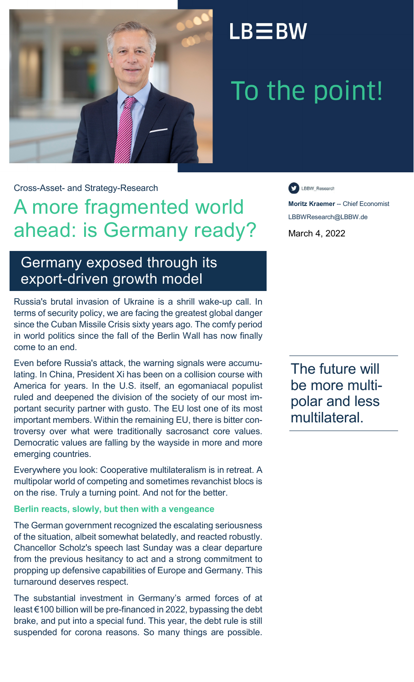

## $LB \equiv BW$

# To the point!

Cross-Asset- and Strategy-Research

### A more fragmented world ahead: is Germany ready?

LBBW\_Research

**Moritz Kraemer** -- Chief Economist LBBWResearch@LBBW.de March 4, 2022

### Germany exposed through its export-driven growth model

Russia's brutal invasion of Ukraine is a shrill wake-up call. In terms of security policy, we are facing the greatest global danger since the Cuban Missile Crisis sixty years ago. The comfy period in world politics since the fall of the Berlin Wall has now finally come to an end.

Even before Russia's attack, the warning signals were accumulating. In China, President Xi has been on a collision course with America for years. In the U.S. itself, an egomaniacal populist ruled and deepened the division of the society of our most important security partner with gusto. The EU lost one of its most important members. Within the remaining EU, there is bitter controversy over what were traditionally sacrosanct core values. Democratic values are falling by the wayside in more and more emerging countries.

Everywhere you look: Cooperative multilateralism is in retreat. A multipolar world of competing and sometimes revanchist blocs is on the rise. Truly a turning point. And not for the better.

#### **Berlin reacts, slowly, but then with a vengeance**

The German government recognized the escalating seriousness of the situation, albeit somewhat belatedly, and reacted robustly. Chancellor Scholz's speech last Sunday was a clear departure from the previous hesitancy to act and a strong commitment to propping up defensive capabilities of Europe and Germany. This turnaround deserves respect.

The substantial investment in Germany's armed forces of at least €100 billion will be pre-financed in 2022, bypassing the debt brake, and put into a special fund. This year, the debt rule is still suspended for corona reasons. So many things are possible.

The future will be more multipolar and less multilateral.